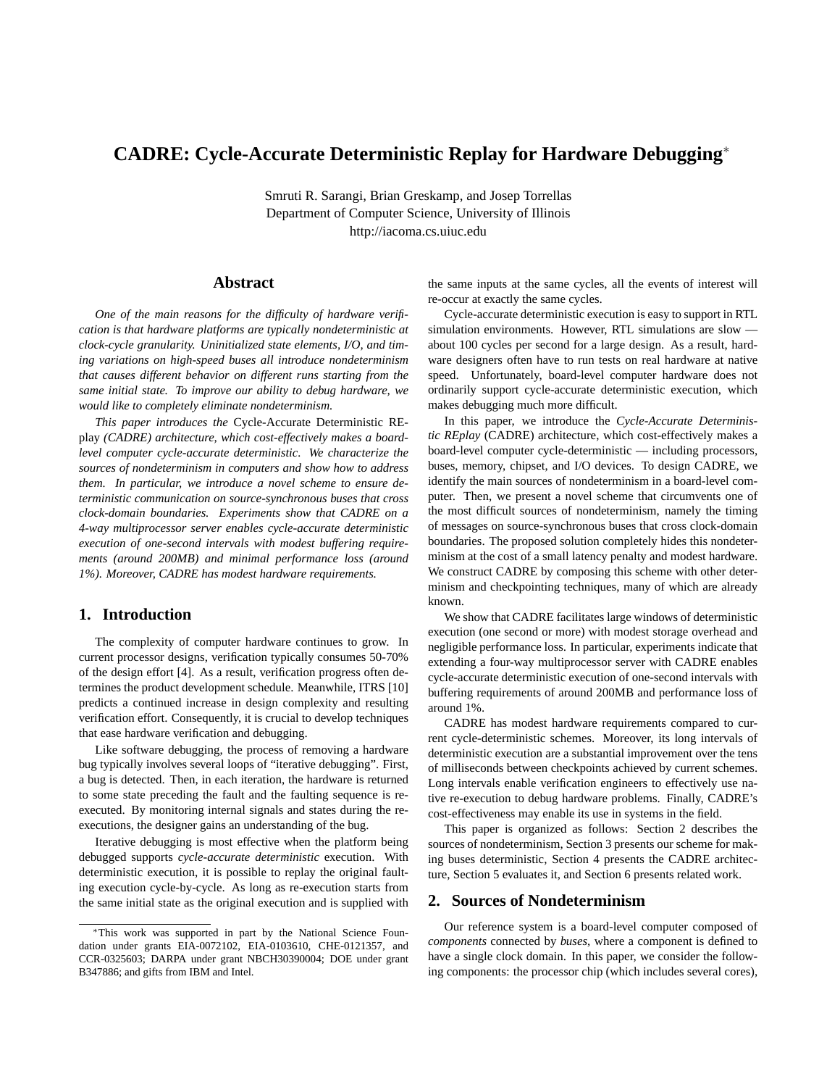# **CADRE: Cycle-Accurate Deterministic Replay for Hardware Debugging**<sup>∗</sup>

Smruti R. Sarangi, Brian Greskamp, and Josep Torrellas Department of Computer Science, University of Illinois http://iacoma.cs.uiuc.edu

## **Abstract**

*One of the main reasons for the difficulty of hardware verification is that hardware platforms are typically nondeterministic at clock-cycle granularity. Uninitialized state elements, I/O, and timing variations on high-speed buses all introduce nondeterminism that causes different behavior on different runs starting from the same initial state. To improve our ability to debug hardware, we would like to completely eliminate nondeterminism.*

*This paper introduces the* Cycle-Accurate Deterministic REplay *(CADRE) architecture, which cost-effectively makes a boardlevel computer cycle-accurate deterministic. We characterize the sources of nondeterminism in computers and show how to address them. In particular, we introduce a novel scheme to ensure deterministic communication on source-synchronous buses that cross clock-domain boundaries. Experiments show that CADRE on a 4-way multiprocessor server enables cycle-accurate deterministic execution of one-second intervals with modest buffering requirements (around 200MB) and minimal performance loss (around 1%). Moreover, CADRE has modest hardware requirements.*

## **1. Introduction**

The complexity of computer hardware continues to grow. In current processor designs, verification typically consumes 50-70% of the design effort [4]. As a result, verification progress often determines the product development schedule. Meanwhile, ITRS [10] predicts a continued increase in design complexity and resulting verification effort. Consequently, it is crucial to develop techniques that ease hardware verification and debugging.

Like software debugging, the process of removing a hardware bug typically involves several loops of "iterative debugging". First, a bug is detected. Then, in each iteration, the hardware is returned to some state preceding the fault and the faulting sequence is reexecuted. By monitoring internal signals and states during the reexecutions, the designer gains an understanding of the bug.

Iterative debugging is most effective when the platform being debugged supports *cycle-accurate deterministic* execution. With deterministic execution, it is possible to replay the original faulting execution cycle-by-cycle. As long as re-execution starts from the same initial state as the original execution and is supplied with

the same inputs at the same cycles, all the events of interest will re-occur at exactly the same cycles.

Cycle-accurate deterministic execution is easy to support in RTL simulation environments. However, RTL simulations are slow about 100 cycles per second for a large design. As a result, hardware designers often have to run tests on real hardware at native speed. Unfortunately, board-level computer hardware does not ordinarily support cycle-accurate deterministic execution, which makes debugging much more difficult.

In this paper, we introduce the *Cycle-Accurate Deterministic REplay* (CADRE) architecture, which cost-effectively makes a board-level computer cycle-deterministic — including processors, buses, memory, chipset, and I/O devices. To design CADRE, we identify the main sources of nondeterminism in a board-level computer. Then, we present a novel scheme that circumvents one of the most difficult sources of nondeterminism, namely the timing of messages on source-synchronous buses that cross clock-domain boundaries. The proposed solution completely hides this nondeterminism at the cost of a small latency penalty and modest hardware. We construct CADRE by composing this scheme with other determinism and checkpointing techniques, many of which are already known.

We show that CADRE facilitates large windows of deterministic execution (one second or more) with modest storage overhead and negligible performance loss. In particular, experiments indicate that extending a four-way multiprocessor server with CADRE enables cycle-accurate deterministic execution of one-second intervals with buffering requirements of around 200MB and performance loss of around 1%.

CADRE has modest hardware requirements compared to current cycle-deterministic schemes. Moreover, its long intervals of deterministic execution are a substantial improvement over the tens of milliseconds between checkpoints achieved by current schemes. Long intervals enable verification engineers to effectively use native re-execution to debug hardware problems. Finally, CADRE's cost-effectiveness may enable its use in systems in the field.

This paper is organized as follows: Section 2 describes the sources of nondeterminism, Section 3 presents our scheme for making buses deterministic, Section 4 presents the CADRE architecture, Section 5 evaluates it, and Section 6 presents related work.

#### **2. Sources of Nondeterminism**

Our reference system is a board-level computer composed of *components* connected by *buses*, where a component is defined to have a single clock domain. In this paper, we consider the following components: the processor chip (which includes several cores),

<sup>∗</sup>This work was supported in part by the National Science Foundation under grants EIA-0072102, EIA-0103610, CHE-0121357, and CCR-0325603; DARPA under grant NBCH30390004; DOE under grant B347886; and gifts from IBM and Intel.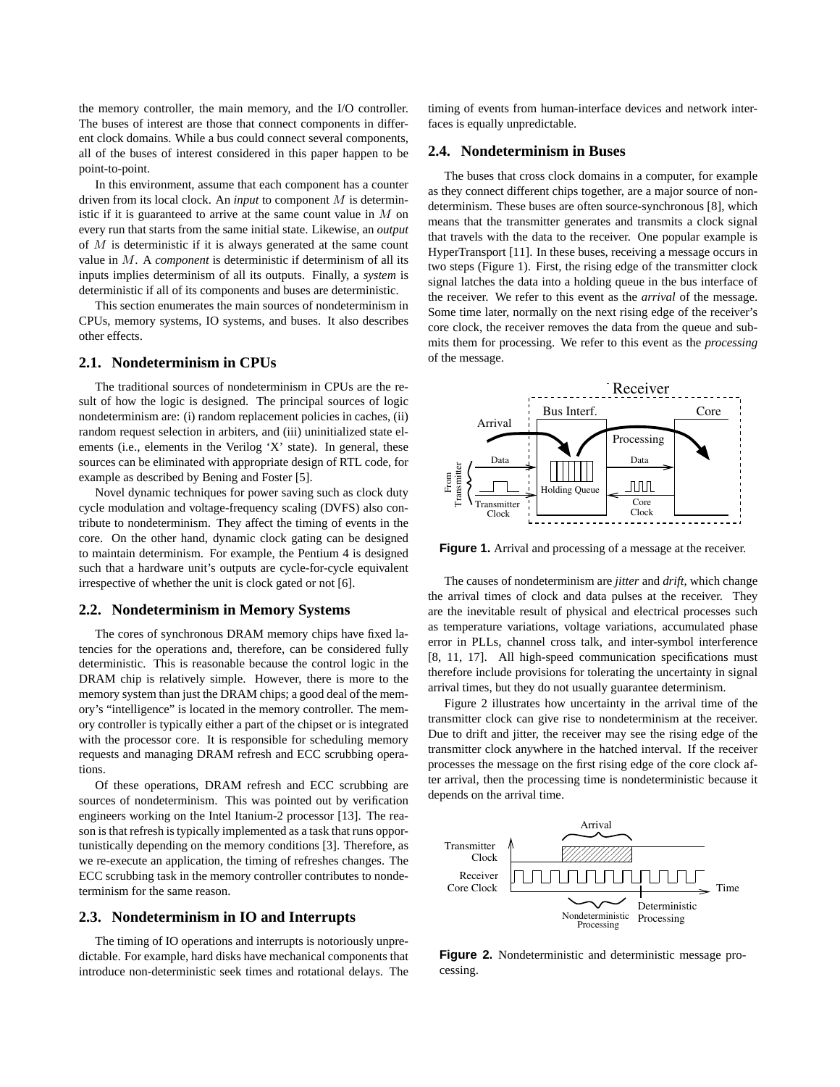the memory controller, the main memory, and the I/O controller. The buses of interest are those that connect components in different clock domains. While a bus could connect several components, all of the buses of interest considered in this paper happen to be point-to-point.

In this environment, assume that each component has a counter driven from its local clock. An *input* to component M is deterministic if it is guaranteed to arrive at the same count value in  $M$  on every run that starts from the same initial state. Likewise, an *output* of  $M$  is deterministic if it is always generated at the same count value in M. A *component* is deterministic if determinism of all its inputs implies determinism of all its outputs. Finally, a *system* is deterministic if all of its components and buses are deterministic.

This section enumerates the main sources of nondeterminism in CPUs, memory systems, IO systems, and buses. It also describes other effects.

## **2.1. Nondeterminism in CPUs**

The traditional sources of nondeterminism in CPUs are the result of how the logic is designed. The principal sources of logic nondeterminism are: (i) random replacement policies in caches, (ii) random request selection in arbiters, and (iii) uninitialized state elements (i.e., elements in the Verilog 'X' state). In general, these sources can be eliminated with appropriate design of RTL code, for example as described by Bening and Foster [5].

Novel dynamic techniques for power saving such as clock duty cycle modulation and voltage-frequency scaling (DVFS) also contribute to nondeterminism. They affect the timing of events in the core. On the other hand, dynamic clock gating can be designed to maintain determinism. For example, the Pentium 4 is designed such that a hardware unit's outputs are cycle-for-cycle equivalent irrespective of whether the unit is clock gated or not [6].

#### **2.2. Nondeterminism in Memory Systems**

The cores of synchronous DRAM memory chips have fixed latencies for the operations and, therefore, can be considered fully deterministic. This is reasonable because the control logic in the DRAM chip is relatively simple. However, there is more to the memory system than just the DRAM chips; a good deal of the memory's "intelligence" is located in the memory controller. The memory controller is typically either a part of the chipset or is integrated with the processor core. It is responsible for scheduling memory requests and managing DRAM refresh and ECC scrubbing operations.

Of these operations, DRAM refresh and ECC scrubbing are sources of nondeterminism. This was pointed out by verification engineers working on the Intel Itanium-2 processor [13]. The reason is that refresh is typically implemented as a task that runs opportunistically depending on the memory conditions [3]. Therefore, as we re-execute an application, the timing of refreshes changes. The ECC scrubbing task in the memory controller contributes to nondeterminism for the same reason.

#### **2.3. Nondeterminism in IO and Interrupts**

The timing of IO operations and interrupts is notoriously unpredictable. For example, hard disks have mechanical components that introduce non-deterministic seek times and rotational delays. The timing of events from human-interface devices and network interfaces is equally unpredictable.

#### **2.4. Nondeterminism in Buses**

The buses that cross clock domains in a computer, for example as they connect different chips together, are a major source of nondeterminism. These buses are often source-synchronous [8], which means that the transmitter generates and transmits a clock signal that travels with the data to the receiver. One popular example is HyperTransport [11]. In these buses, receiving a message occurs in two steps (Figure 1). First, the rising edge of the transmitter clock signal latches the data into a holding queue in the bus interface of the receiver. We refer to this event as the *arrival* of the message. Some time later, normally on the next rising edge of the receiver's core clock, the receiver removes the data from the queue and submits them for processing. We refer to this event as the *processing* of the message.



**Figure 1.** Arrival and processing of a message at the receiver.

The causes of nondeterminism are *jitter* and *drift*, which change the arrival times of clock and data pulses at the receiver. They are the inevitable result of physical and electrical processes such as temperature variations, voltage variations, accumulated phase error in PLLs, channel cross talk, and inter-symbol interference [8, 11, 17]. All high-speed communication specifications must therefore include provisions for tolerating the uncertainty in signal arrival times, but they do not usually guarantee determinism.

Figure 2 illustrates how uncertainty in the arrival time of the transmitter clock can give rise to nondeterminism at the receiver. Due to drift and jitter, the receiver may see the rising edge of the transmitter clock anywhere in the hatched interval. If the receiver processes the message on the first rising edge of the core clock after arrival, then the processing time is nondeterministic because it depends on the arrival time.



**Figure 2.** Nondeterministic and deterministic message processing.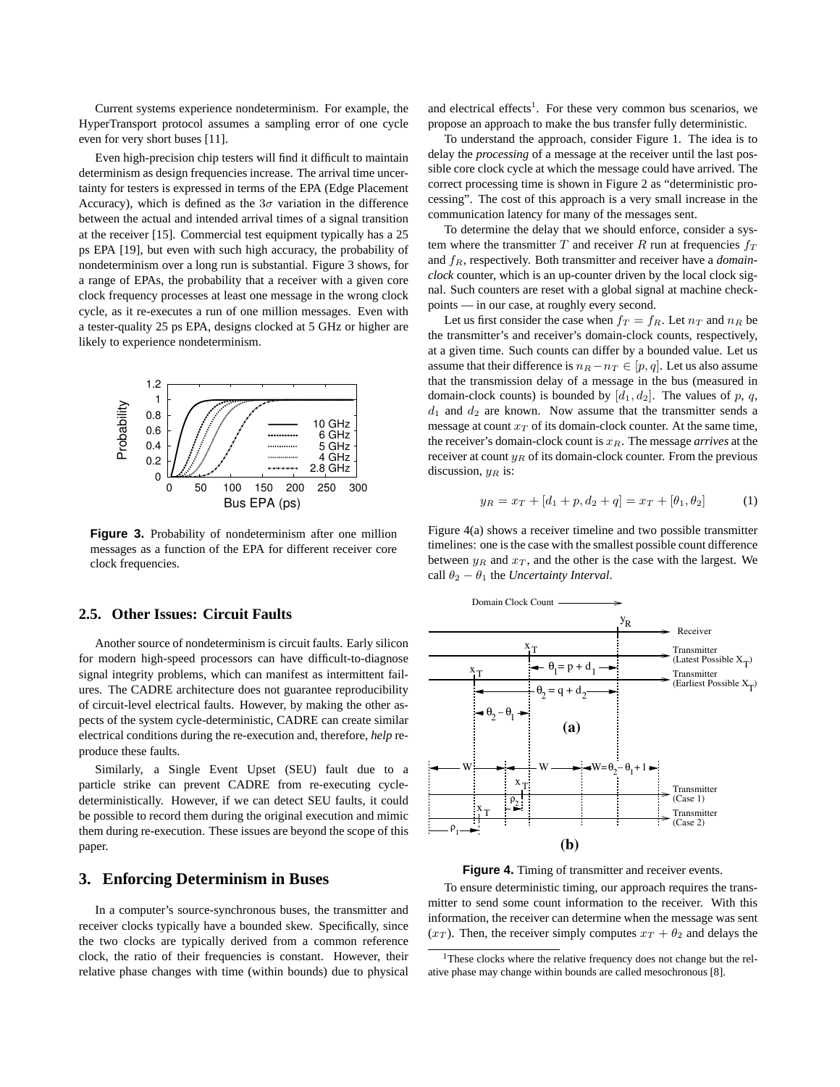Current systems experience nondeterminism. For example, the HyperTransport protocol assumes a sampling error of one cycle even for very short buses [11].

Even high-precision chip testers will find it difficult to maintain determinism as design frequencies increase. The arrival time uncertainty for testers is expressed in terms of the EPA (Edge Placement Accuracy), which is defined as the  $3\sigma$  variation in the difference between the actual and intended arrival times of a signal transition at the receiver [15]. Commercial test equipment typically has a 25 ps EPA [19], but even with such high accuracy, the probability of nondeterminism over a long run is substantial. Figure 3 shows, for a range of EPAs, the probability that a receiver with a given core clock frequency processes at least one message in the wrong clock cycle, as it re-executes a run of one million messages. Even with a tester-quality 25 ps EPA, designs clocked at 5 GHz or higher are likely to experience nondeterminism.



Figure 3. Probability of nondeterminism after one million messages as a function of the EPA for different receiver core clock frequencies.

## **2.5. Other Issues: Circuit Faults**

Another source of nondeterminism is circuit faults. Early silicon for modern high-speed processors can have difficult-to-diagnose signal integrity problems, which can manifest as intermittent failures. The CADRE architecture does not guarantee reproducibility of circuit-level electrical faults. However, by making the other aspects of the system cycle-deterministic, CADRE can create similar electrical conditions during the re-execution and, therefore, *help* reproduce these faults.

Similarly, a Single Event Upset (SEU) fault due to a particle strike can prevent CADRE from re-executing cycledeterministically. However, if we can detect SEU faults, it could be possible to record them during the original execution and mimic them during re-execution. These issues are beyond the scope of this paper.

## **3. Enforcing Determinism in Buses**

In a computer's source-synchronous buses, the transmitter and receiver clocks typically have a bounded skew. Specifically, since the two clocks are typically derived from a common reference clock, the ratio of their frequencies is constant. However, their relative phase changes with time (within bounds) due to physical

and electrical effects<sup>1</sup>. For these very common bus scenarios, we propose an approach to make the bus transfer fully deterministic.

To understand the approach, consider Figure 1. The idea is to delay the *processing* of a message at the receiver until the last possible core clock cycle at which the message could have arrived. The correct processing time is shown in Figure 2 as "deterministic processing". The cost of this approach is a very small increase in the communication latency for many of the messages sent.

To determine the delay that we should enforce, consider a system where the transmitter  $T$  and receiver  $R$  run at frequencies  $f_T$ and  $f<sub>R</sub>$ , respectively. Both transmitter and receiver have a *domainclock* counter, which is an up-counter driven by the local clock signal. Such counters are reset with a global signal at machine checkpoints — in our case, at roughly every second.

Let us first consider the case when  $f_T = f_R$ . Let  $n_T$  and  $n_R$  be the transmitter's and receiver's domain-clock counts, respectively, at a given time. Such counts can differ by a bounded value. Let us assume that their difference is  $n_R - n_T \in [p, q]$ . Let us also assume that the transmission delay of a message in the bus (measured in domain-clock counts) is bounded by  $[d_1, d_2]$ . The values of p, q,  $d_1$  and  $d_2$  are known. Now assume that the transmitter sends a message at count  $x_T$  of its domain-clock counter. At the same time, the receiver's domain-clock count is  $x_R$ . The message *arrives* at the receiver at count  $y_R$  of its domain-clock counter. From the previous discussion,  $y_B$  is:

$$
y_R = x_T + [d_1 + p, d_2 + q] = x_T + [\theta_1, \theta_2]
$$
 (1)

Figure 4(a) shows a receiver timeline and two possible transmitter timelines: one is the case with the smallest possible count difference between  $y_R$  and  $x_T$ , and the other is the case with the largest. We call  $\theta_2 - \theta_1$  the *Uncertainty Interval*.



**Figure 4.** Timing of transmitter and receiver events.

To ensure deterministic timing, our approach requires the transmitter to send some count information to the receiver. With this information, the receiver can determine when the message was sent  $(x_T)$ . Then, the receiver simply computes  $x_T + \theta_2$  and delays the

<sup>&</sup>lt;sup>1</sup>These clocks where the relative frequency does not change but the relative phase may change within bounds are called mesochronous [8].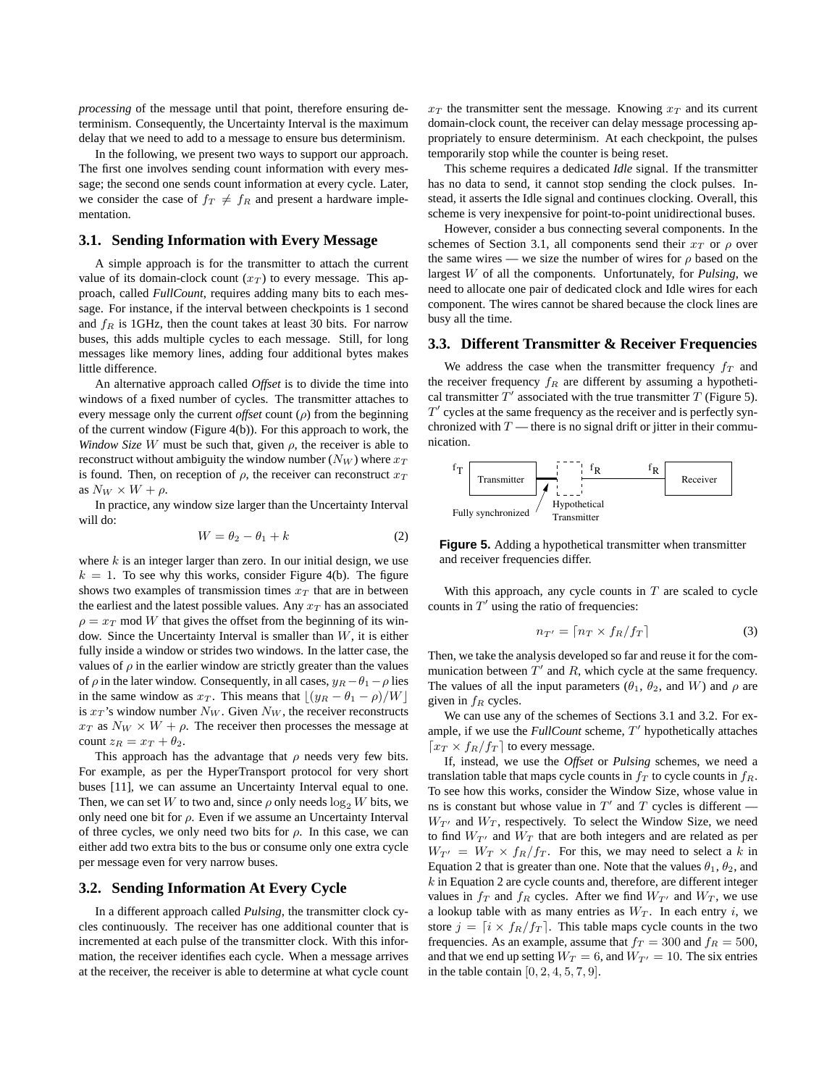*processing* of the message until that point, therefore ensuring determinism. Consequently, the Uncertainty Interval is the maximum delay that we need to add to a message to ensure bus determinism.

In the following, we present two ways to support our approach. The first one involves sending count information with every message; the second one sends count information at every cycle. Later, we consider the case of  $f_T \neq f_R$  and present a hardware implementation.

#### **3.1. Sending Information with Every Message**

A simple approach is for the transmitter to attach the current value of its domain-clock count  $(x_T)$  to every message. This approach, called *FullCount*, requires adding many bits to each message. For instance, if the interval between checkpoints is 1 second and  $f_R$  is 1GHz, then the count takes at least 30 bits. For narrow buses, this adds multiple cycles to each message. Still, for long messages like memory lines, adding four additional bytes makes little difference.

An alternative approach called *Offset* is to divide the time into windows of a fixed number of cycles. The transmitter attaches to every message only the current *offset* count (ρ) from the beginning of the current window (Figure 4(b)). For this approach to work, the *Window Size* W must be such that, given  $\rho$ , the receiver is able to reconstruct without ambiguity the window number  $(N_W)$  where  $x_T$ is found. Then, on reception of  $\rho$ , the receiver can reconstruct  $x_T$ as  $N_W \times W + \rho$ .

In practice, any window size larger than the Uncertainty Interval will do:

$$
W = \theta_2 - \theta_1 + k \tag{2}
$$

where  $k$  is an integer larger than zero. In our initial design, we use  $k = 1$ . To see why this works, consider Figure 4(b). The figure shows two examples of transmission times  $x_T$  that are in between the earliest and the latest possible values. Any  $x_T$  has an associated  $\rho = x_T \text{ mod } W$  that gives the offset from the beginning of its window. Since the Uncertainty Interval is smaller than  $W$ , it is either fully inside a window or strides two windows. In the latter case, the values of  $\rho$  in the earlier window are strictly greater than the values of  $\rho$  in the later window. Consequently, in all cases,  $y_R - \theta_1 - \rho$  lies in the same window as  $x_T$ . This means that  $\lfloor (y_R - \theta_1 - \rho)/W \rfloor$ is  $x_T$ 's window number  $N_W$ . Given  $N_W$ , the receiver reconstructs  $x_T$  as  $N_W \times W + \rho$ . The receiver then processes the message at count  $z_R = x_T + \theta_2$ .

This approach has the advantage that  $\rho$  needs very few bits. For example, as per the HyperTransport protocol for very short buses [11], we can assume an Uncertainty Interval equal to one. Then, we can set W to two and, since  $\rho$  only needs  $\log_2 W$  bits, we only need one bit for  $\rho$ . Even if we assume an Uncertainty Interval of three cycles, we only need two bits for  $\rho$ . In this case, we can either add two extra bits to the bus or consume only one extra cycle per message even for very narrow buses.

#### **3.2. Sending Information At Every Cycle**

In a different approach called *Pulsing*, the transmitter clock cycles continuously. The receiver has one additional counter that is incremented at each pulse of the transmitter clock. With this information, the receiver identifies each cycle. When a message arrives at the receiver, the receiver is able to determine at what cycle count  $x_T$  the transmitter sent the message. Knowing  $x_T$  and its current domain-clock count, the receiver can delay message processing appropriately to ensure determinism. At each checkpoint, the pulses temporarily stop while the counter is being reset.

This scheme requires a dedicated *Idle* signal. If the transmitter has no data to send, it cannot stop sending the clock pulses. Instead, it asserts the Idle signal and continues clocking. Overall, this scheme is very inexpensive for point-to-point unidirectional buses.

However, consider a bus connecting several components. In the schemes of Section 3.1, all components send their  $x_T$  or  $\rho$  over the same wires — we size the number of wires for  $\rho$  based on the largest W of all the components. Unfortunately, for *Pulsing*, we need to allocate one pair of dedicated clock and Idle wires for each component. The wires cannot be shared because the clock lines are busy all the time.

#### **3.3. Different Transmitter & Receiver Frequencies**

We address the case when the transmitter frequency  $f_T$  and the receiver frequency  $f_R$  are different by assuming a hypothetical transmitter  $T'$  associated with the true transmitter  $T$  (Figure 5).  $T'$  cycles at the same frequency as the receiver and is perfectly synchronized with  $T$  — there is no signal drift or jitter in their communication.





With this approach, any cycle counts in  $T$  are scaled to cycle counts in  $T'$  using the ratio of frequencies:

$$
n_{T'} = \lceil n_T \times f_R/f_T \rceil \tag{3}
$$

Then, we take the analysis developed so far and reuse it for the communication between  $T'$  and R, which cycle at the same frequency. The values of all the input parameters ( $\theta_1$ ,  $\theta_2$ , and W) and  $\rho$  are given in  $f_R$  cycles.

We can use any of the schemes of Sections 3.1 and 3.2. For example, if we use the  $FullCount$  scheme,  $T'$  hypothetically attaches  $\lceil x_T \times f_R/f_T \rceil$  to every message.

If, instead, we use the *Offset* or *Pulsing* schemes, we need a translation table that maps cycle counts in  $f<sub>T</sub>$  to cycle counts in  $f<sub>R</sub>$ . To see how this works, consider the Window Size, whose value in ns is constant but whose value in  $T'$  and T cycles is different —  $W_{T'}$  and  $W_T$ , respectively. To select the Window Size, we need to find  $W_{T'}$  and  $W_T$  that are both integers and are related as per  $W_{T'} = W_T \times f_R/f_T$ . For this, we may need to select a k in Equation 2 that is greater than one. Note that the values  $\theta_1$ ,  $\theta_2$ , and  $k$  in Equation 2 are cycle counts and, therefore, are different integer values in  $f_T$  and  $f_R$  cycles. After we find  $W_{T'}$  and  $W_T$ , we use a lookup table with as many entries as  $W_T$ . In each entry i, we store  $j = \lfloor i \times f_R/f_T \rfloor$ . This table maps cycle counts in the two frequencies. As an example, assume that  $f_T = 300$  and  $f_R = 500$ , and that we end up setting  $W_T = 6$ , and  $W_{T'} = 10$ . The six entries in the table contain  $[0, 2, 4, 5, 7, 9]$ .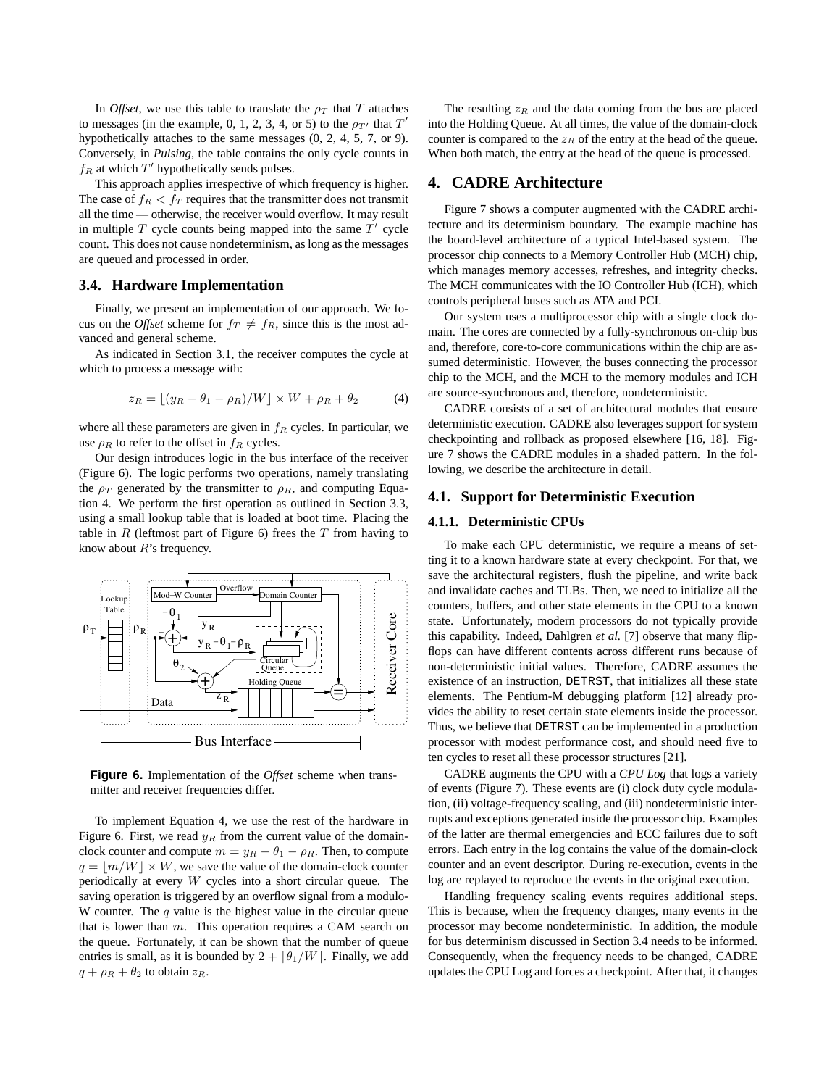In *Offset*, we use this table to translate the  $\rho_T$  that T attaches to messages (in the example, 0, 1, 2, 3, 4, or 5) to the  $\rho_{T'}$  that  $T'$ hypothetically attaches to the same messages (0, 2, 4, 5, 7, or 9). Conversely, in *Pulsing*, the table contains the only cycle counts in  $f_R$  at which  $T'$  hypothetically sends pulses.

This approach applies irrespective of which frequency is higher. The case of  $f_R < f_T$  requires that the transmitter does not transmit all the time — otherwise, the receiver would overflow. It may result in multiple  $T$  cycle counts being mapped into the same  $T'$  cycle count. This does not cause nondeterminism, as long as the messages are queued and processed in order.

#### **3.4. Hardware Implementation**

Finally, we present an implementation of our approach. We focus on the *Offset* scheme for  $f_T \neq f_R$ , since this is the most advanced and general scheme.

As indicated in Section 3.1, the receiver computes the cycle at which to process a message with:

$$
z_R = \lfloor (y_R - \theta_1 - \rho_R)/W \rfloor \times W + \rho_R + \theta_2 \tag{4}
$$

where all these parameters are given in  $f_R$  cycles. In particular, we use  $\rho_R$  to refer to the offset in  $f_R$  cycles.

Our design introduces logic in the bus interface of the receiver (Figure 6). The logic performs two operations, namely translating the  $\rho_T$  generated by the transmitter to  $\rho_R$ , and computing Equation 4. We perform the first operation as outlined in Section 3.3, using a small lookup table that is loaded at boot time. Placing the table in  $R$  (leftmost part of Figure 6) frees the  $T$  from having to know about  $R$ 's frequency.



**Figure 6.** Implementation of the *Offset* scheme when transmitter and receiver frequencies differ.

To implement Equation 4, we use the rest of the hardware in Figure 6. First, we read  $y_R$  from the current value of the domainclock counter and compute  $m = y_R - \theta_1 - \rho_R$ . Then, to compute  $q = |m/W| \times W$ , we save the value of the domain-clock counter periodically at every W cycles into a short circular queue. The saving operation is triggered by an overflow signal from a modulo-W counter. The  $q$  value is the highest value in the circular queue that is lower than  $m$ . This operation requires a CAM search on the queue. Fortunately, it can be shown that the number of queue entries is small, as it is bounded by  $2 + \lceil \theta_1/W \rceil$ . Finally, we add  $q + \rho_R + \theta_2$  to obtain  $z_R$ .

The resulting  $z_R$  and the data coming from the bus are placed into the Holding Queue. At all times, the value of the domain-clock counter is compared to the  $z_R$  of the entry at the head of the queue. When both match, the entry at the head of the queue is processed.

## **4. CADRE Architecture**

Figure 7 shows a computer augmented with the CADRE architecture and its determinism boundary. The example machine has the board-level architecture of a typical Intel-based system. The processor chip connects to a Memory Controller Hub (MCH) chip, which manages memory accesses, refreshes, and integrity checks. The MCH communicates with the IO Controller Hub (ICH), which controls peripheral buses such as ATA and PCI.

Our system uses a multiprocessor chip with a single clock domain. The cores are connected by a fully-synchronous on-chip bus and, therefore, core-to-core communications within the chip are assumed deterministic. However, the buses connecting the processor chip to the MCH, and the MCH to the memory modules and ICH are source-synchronous and, therefore, nondeterministic.

CADRE consists of a set of architectural modules that ensure deterministic execution. CADRE also leverages support for system checkpointing and rollback as proposed elsewhere [16, 18]. Figure 7 shows the CADRE modules in a shaded pattern. In the following, we describe the architecture in detail.

#### **4.1. Support for Deterministic Execution**

#### **4.1.1. Deterministic CPUs**

To make each CPU deterministic, we require a means of setting it to a known hardware state at every checkpoint. For that, we save the architectural registers, flush the pipeline, and write back and invalidate caches and TLBs. Then, we need to initialize all the counters, buffers, and other state elements in the CPU to a known state. Unfortunately, modern processors do not typically provide this capability. Indeed, Dahlgren *et al.* [7] observe that many flipflops can have different contents across different runs because of non-deterministic initial values. Therefore, CADRE assumes the existence of an instruction, DETRST, that initializes all these state elements. The Pentium-M debugging platform [12] already provides the ability to reset certain state elements inside the processor. Thus, we believe that DETRST can be implemented in a production processor with modest performance cost, and should need five to ten cycles to reset all these processor structures [21].

CADRE augments the CPU with a *CPU Log* that logs a variety of events (Figure 7). These events are (i) clock duty cycle modulation, (ii) voltage-frequency scaling, and (iii) nondeterministic interrupts and exceptions generated inside the processor chip. Examples of the latter are thermal emergencies and ECC failures due to soft errors. Each entry in the log contains the value of the domain-clock counter and an event descriptor. During re-execution, events in the log are replayed to reproduce the events in the original execution.

Handling frequency scaling events requires additional steps. This is because, when the frequency changes, many events in the processor may become nondeterministic. In addition, the module for bus determinism discussed in Section 3.4 needs to be informed. Consequently, when the frequency needs to be changed, CADRE updates the CPU Log and forces a checkpoint. After that, it changes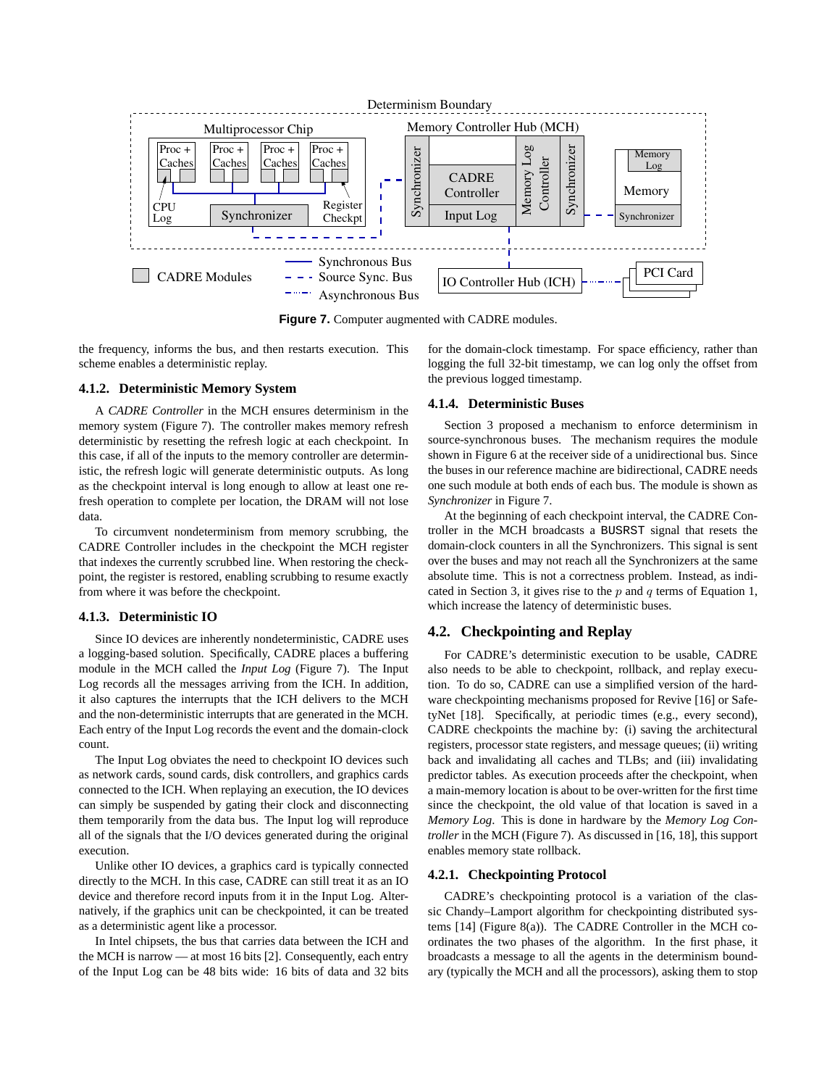

Figure 7. Computer augmented with CADRE modules.

the frequency, informs the bus, and then restarts execution. This scheme enables a deterministic replay.

#### **4.1.2. Deterministic Memory System**

A *CADRE Controller* in the MCH ensures determinism in the memory system (Figure 7). The controller makes memory refresh deterministic by resetting the refresh logic at each checkpoint. In this case, if all of the inputs to the memory controller are deterministic, the refresh logic will generate deterministic outputs. As long as the checkpoint interval is long enough to allow at least one refresh operation to complete per location, the DRAM will not lose data.

To circumvent nondeterminism from memory scrubbing, the CADRE Controller includes in the checkpoint the MCH register that indexes the currently scrubbed line. When restoring the checkpoint, the register is restored, enabling scrubbing to resume exactly from where it was before the checkpoint.

#### **4.1.3. Deterministic IO**

Since IO devices are inherently nondeterministic, CADRE uses a logging-based solution. Specifically, CADRE places a buffering module in the MCH called the *Input Log* (Figure 7). The Input Log records all the messages arriving from the ICH. In addition, it also captures the interrupts that the ICH delivers to the MCH and the non-deterministic interrupts that are generated in the MCH. Each entry of the Input Log records the event and the domain-clock count.

The Input Log obviates the need to checkpoint IO devices such as network cards, sound cards, disk controllers, and graphics cards connected to the ICH. When replaying an execution, the IO devices can simply be suspended by gating their clock and disconnecting them temporarily from the data bus. The Input log will reproduce all of the signals that the I/O devices generated during the original execution.

Unlike other IO devices, a graphics card is typically connected directly to the MCH. In this case, CADRE can still treat it as an IO device and therefore record inputs from it in the Input Log. Alternatively, if the graphics unit can be checkpointed, it can be treated as a deterministic agent like a processor.

In Intel chipsets, the bus that carries data between the ICH and the MCH is narrow — at most 16 bits [2]. Consequently, each entry of the Input Log can be 48 bits wide: 16 bits of data and 32 bits

for the domain-clock timestamp. For space efficiency, rather than logging the full 32-bit timestamp, we can log only the offset from the previous logged timestamp.

#### **4.1.4. Deterministic Buses**

Section 3 proposed a mechanism to enforce determinism in source-synchronous buses. The mechanism requires the module shown in Figure 6 at the receiver side of a unidirectional bus. Since the buses in our reference machine are bidirectional, CADRE needs one such module at both ends of each bus. The module is shown as *Synchronizer* in Figure 7.

At the beginning of each checkpoint interval, the CADRE Controller in the MCH broadcasts a BUSRST signal that resets the domain-clock counters in all the Synchronizers. This signal is sent over the buses and may not reach all the Synchronizers at the same absolute time. This is not a correctness problem. Instead, as indicated in Section 3, it gives rise to the  $p$  and  $q$  terms of Equation 1, which increase the latency of deterministic buses.

#### **4.2. Checkpointing and Replay**

For CADRE's deterministic execution to be usable, CADRE also needs to be able to checkpoint, rollback, and replay execution. To do so, CADRE can use a simplified version of the hardware checkpointing mechanisms proposed for Revive [16] or SafetyNet [18]. Specifically, at periodic times (e.g., every second), CADRE checkpoints the machine by: (i) saving the architectural registers, processor state registers, and message queues; (ii) writing back and invalidating all caches and TLBs; and (iii) invalidating predictor tables. As execution proceeds after the checkpoint, when a main-memory location is about to be over-written for the first time since the checkpoint, the old value of that location is saved in a *Memory Log*. This is done in hardware by the *Memory Log Controller* in the MCH (Figure 7). As discussed in [16, 18], this support enables memory state rollback.

#### **4.2.1. Checkpointing Protocol**

CADRE's checkpointing protocol is a variation of the classic Chandy–Lamport algorithm for checkpointing distributed systems [14] (Figure 8(a)). The CADRE Controller in the MCH coordinates the two phases of the algorithm. In the first phase, it broadcasts a message to all the agents in the determinism boundary (typically the MCH and all the processors), asking them to stop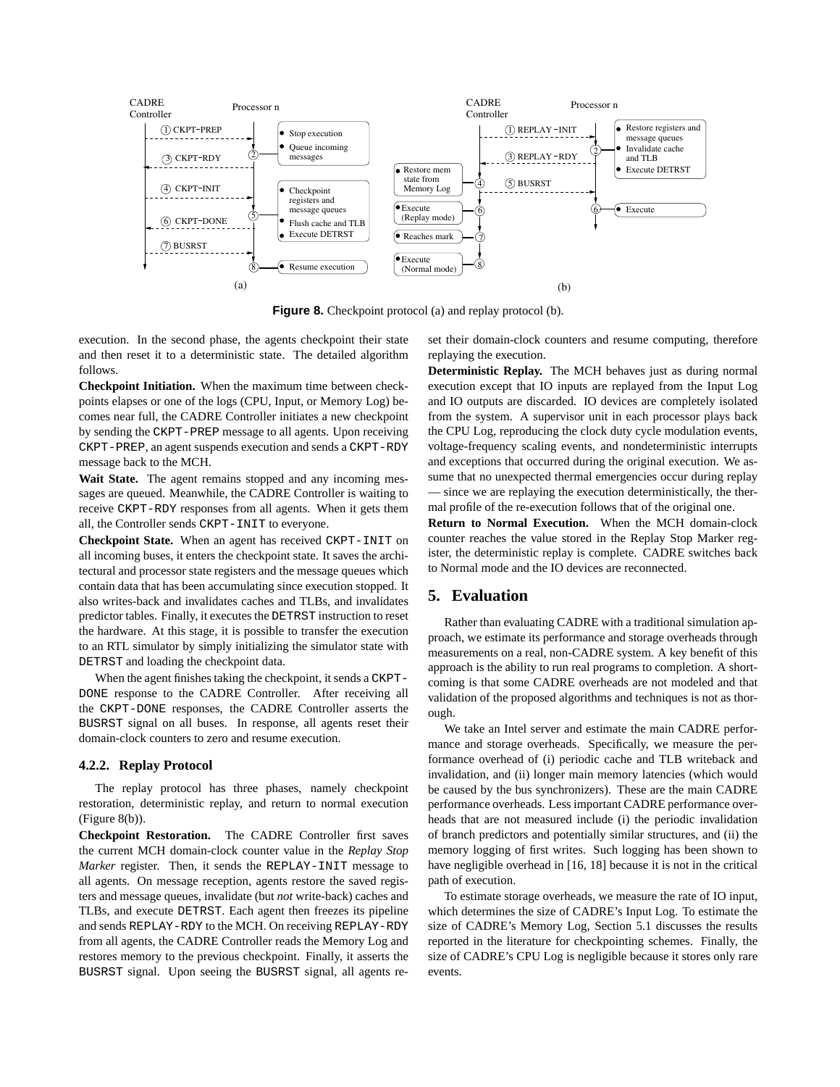

**Figure 8.** Checkpoint protocol (a) and replay protocol (b).

execution. In the second phase, the agents checkpoint their state and then reset it to a deterministic state. The detailed algorithm follows.

**Checkpoint Initiation.** When the maximum time between checkpoints elapses or one of the logs (CPU, Input, or Memory Log) becomes near full, the CADRE Controller initiates a new checkpoint by sending the CKPT-PREP message to all agents. Upon receiving CKPT-PREP, an agent suspends execution and sends a CKPT-RDY message back to the MCH.

**Wait State.** The agent remains stopped and any incoming messages are queued. Meanwhile, the CADRE Controller is waiting to receive CKPT-RDY responses from all agents. When it gets them all, the Controller sends CKPT-INIT to everyone.

**Checkpoint State.** When an agent has received CKPT-INIT on all incoming buses, it enters the checkpoint state. It saves the architectural and processor state registers and the message queues which contain data that has been accumulating since execution stopped. It also writes-back and invalidates caches and TLBs, and invalidates predictor tables. Finally, it executes the DETRST instruction to reset the hardware. At this stage, it is possible to transfer the execution to an RTL simulator by simply initializing the simulator state with DETRST and loading the checkpoint data.

When the agent finishes taking the checkpoint, it sends a CKPT-DONE response to the CADRE Controller. After receiving all the CKPT-DONE responses, the CADRE Controller asserts the BUSRST signal on all buses. In response, all agents reset their domain-clock counters to zero and resume execution.

#### **4.2.2. Replay Protocol**

The replay protocol has three phases, namely checkpoint restoration, deterministic replay, and return to normal execution (Figure 8(b)).

**Checkpoint Restoration.** The CADRE Controller first saves the current MCH domain-clock counter value in the *Replay Stop Marker* register. Then, it sends the REPLAY-INIT message to all agents. On message reception, agents restore the saved registers and message queues, invalidate (but *not* write-back) caches and TLBs, and execute DETRST. Each agent then freezes its pipeline and sends REPLAY-RDY to the MCH. On receiving REPLAY-RDY from all agents, the CADRE Controller reads the Memory Log and restores memory to the previous checkpoint. Finally, it asserts the BUSRST signal. Upon seeing the BUSRST signal, all agents reset their domain-clock counters and resume computing, therefore replaying the execution.

**Deterministic Replay.** The MCH behaves just as during normal execution except that IO inputs are replayed from the Input Log and IO outputs are discarded. IO devices are completely isolated from the system. A supervisor unit in each processor plays back the CPU Log, reproducing the clock duty cycle modulation events, voltage-frequency scaling events, and nondeterministic interrupts and exceptions that occurred during the original execution. We assume that no unexpected thermal emergencies occur during replay — since we are replaying the execution deterministically, the thermal profile of the re-execution follows that of the original one.

**Return to Normal Execution.** When the MCH domain-clock counter reaches the value stored in the Replay Stop Marker register, the deterministic replay is complete. CADRE switches back to Normal mode and the IO devices are reconnected.

## **5. Evaluation**

Rather than evaluating CADRE with a traditional simulation approach, we estimate its performance and storage overheads through measurements on a real, non-CADRE system. A key benefit of this approach is the ability to run real programs to completion. A shortcoming is that some CADRE overheads are not modeled and that validation of the proposed algorithms and techniques is not as thorough.

We take an Intel server and estimate the main CADRE performance and storage overheads. Specifically, we measure the performance overhead of (i) periodic cache and TLB writeback and invalidation, and (ii) longer main memory latencies (which would be caused by the bus synchronizers). These are the main CADRE performance overheads. Less important CADRE performance overheads that are not measured include (i) the periodic invalidation of branch predictors and potentially similar structures, and (ii) the memory logging of first writes. Such logging has been shown to have negligible overhead in [16, 18] because it is not in the critical path of execution.

To estimate storage overheads, we measure the rate of IO input, which determines the size of CADRE's Input Log. To estimate the size of CADRE's Memory Log, Section 5.1 discusses the results reported in the literature for checkpointing schemes. Finally, the size of CADRE's CPU Log is negligible because it stores only rare events.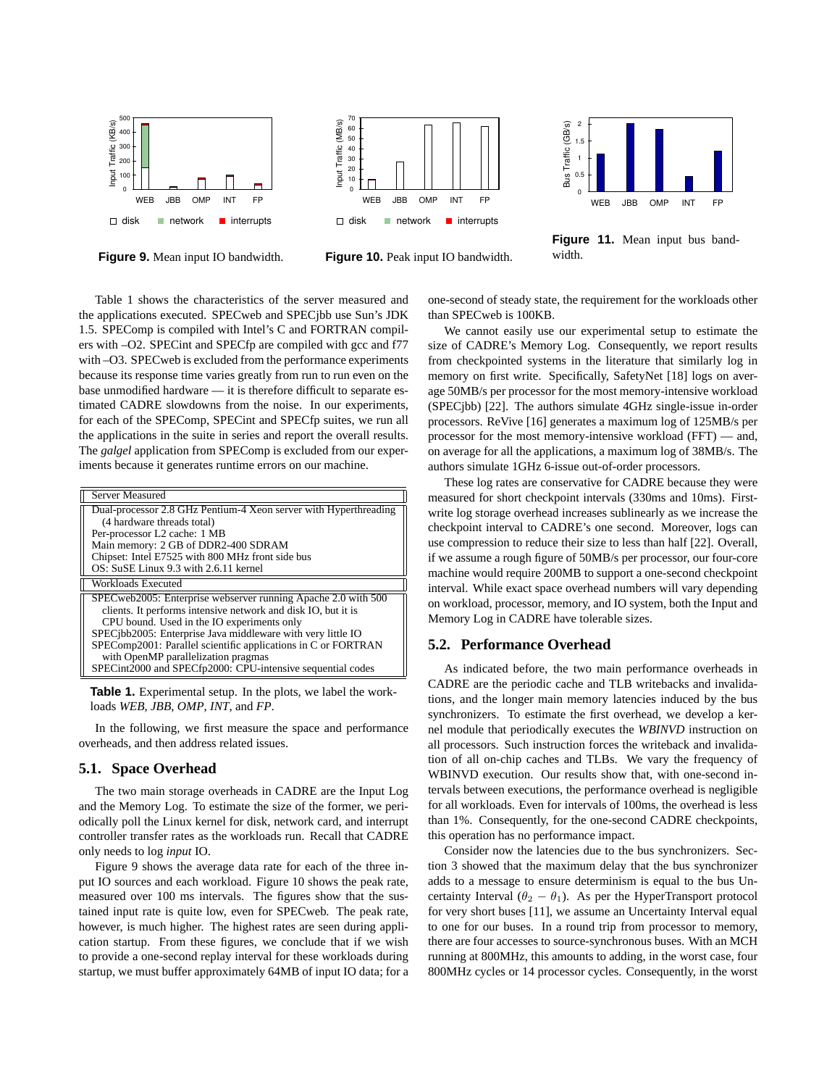

**Figure 9.** Mean input IO bandwidth.



**Figure 10.** Peak input IO bandwidth.



**Figure 11.** Mean input bus bandwidth.

Table 1 shows the characteristics of the server measured and the applications executed. SPECweb and SPECjbb use Sun's JDK 1.5. SPEComp is compiled with Intel's C and FORTRAN compilers with –O2. SPECint and SPECfp are compiled with gcc and f77 with –O3. SPECweb is excluded from the performance experiments because its response time varies greatly from run to run even on the base unmodified hardware — it is therefore difficult to separate estimated CADRE slowdowns from the noise. In our experiments, for each of the SPEComp, SPECint and SPECfp suites, we run all the applications in the suite in series and report the overall results. The *galgel* application from SPEComp is excluded from our experiments because it generates runtime errors on our machine.

| Server Measured                                                  |  |  |
|------------------------------------------------------------------|--|--|
| Dual-processor 2.8 GHz Pentium-4 Xeon server with Hyperthreading |  |  |
| (4 hardware threads total)                                       |  |  |
| Per-processor L2 cache: 1 MB                                     |  |  |
| Main memory: 2 GB of DDR2-400 SDRAM                              |  |  |
| Chipset: Intel E7525 with 800 MHz front side bus                 |  |  |
| OS: SuSE Linux 9.3 with 2.6.11 kernel                            |  |  |
| Workloads Executed                                               |  |  |
| SPECweb2005: Enterprise webserver running Apache 2.0 with 500    |  |  |
| clients. It performs intensive network and disk IO, but it is    |  |  |
| CPU bound. Used in the IO experiments only                       |  |  |
| SPEC jbb2005: Enterprise Java middleware with very little IO     |  |  |
| SPEComp2001: Parallel scientific applications in C or FORTRAN    |  |  |
| with OpenMP parallelization pragmas                              |  |  |
| SPECint2000 and SPECfp2000: CPU-intensive sequential codes       |  |  |

**Table 1.** Experimental setup. In the plots, we label the workloads *WEB*, *JBB*, *OMP*, *INT*, and *FP*.

In the following, we first measure the space and performance overheads, and then address related issues.

#### **5.1. Space Overhead**

The two main storage overheads in CADRE are the Input Log and the Memory Log. To estimate the size of the former, we periodically poll the Linux kernel for disk, network card, and interrupt controller transfer rates as the workloads run. Recall that CADRE only needs to log *input* IO.

Figure 9 shows the average data rate for each of the three input IO sources and each workload. Figure 10 shows the peak rate, measured over 100 ms intervals. The figures show that the sustained input rate is quite low, even for SPECweb. The peak rate, however, is much higher. The highest rates are seen during application startup. From these figures, we conclude that if we wish to provide a one-second replay interval for these workloads during startup, we must buffer approximately 64MB of input IO data; for a one-second of steady state, the requirement for the workloads other than SPECweb is 100KB.

We cannot easily use our experimental setup to estimate the size of CADRE's Memory Log. Consequently, we report results from checkpointed systems in the literature that similarly log in memory on first write. Specifically, SafetyNet [18] logs on average 50MB/s per processor for the most memory-intensive workload (SPECjbb) [22]. The authors simulate 4GHz single-issue in-order processors. ReVive [16] generates a maximum log of 125MB/s per processor for the most memory-intensive workload (FFT) — and, on average for all the applications, a maximum log of 38MB/s. The authors simulate 1GHz 6-issue out-of-order processors.

These log rates are conservative for CADRE because they were measured for short checkpoint intervals (330ms and 10ms). Firstwrite log storage overhead increases sublinearly as we increase the checkpoint interval to CADRE's one second. Moreover, logs can use compression to reduce their size to less than half [22]. Overall, if we assume a rough figure of 50MB/s per processor, our four-core machine would require 200MB to support a one-second checkpoint interval. While exact space overhead numbers will vary depending on workload, processor, memory, and IO system, both the Input and Memory Log in CADRE have tolerable sizes.

#### **5.2. Performance Overhead**

As indicated before, the two main performance overheads in CADRE are the periodic cache and TLB writebacks and invalidations, and the longer main memory latencies induced by the bus synchronizers. To estimate the first overhead, we develop a kernel module that periodically executes the *WBINVD* instruction on all processors. Such instruction forces the writeback and invalidation of all on-chip caches and TLBs. We vary the frequency of WBINVD execution. Our results show that, with one-second intervals between executions, the performance overhead is negligible for all workloads. Even for intervals of 100ms, the overhead is less than 1%. Consequently, for the one-second CADRE checkpoints, this operation has no performance impact.

Consider now the latencies due to the bus synchronizers. Section 3 showed that the maximum delay that the bus synchronizer adds to a message to ensure determinism is equal to the bus Uncertainty Interval ( $\theta_2 - \theta_1$ ). As per the HyperTransport protocol for very short buses [11], we assume an Uncertainty Interval equal to one for our buses. In a round trip from processor to memory, there are four accesses to source-synchronous buses. With an MCH running at 800MHz, this amounts to adding, in the worst case, four 800MHz cycles or 14 processor cycles. Consequently, in the worst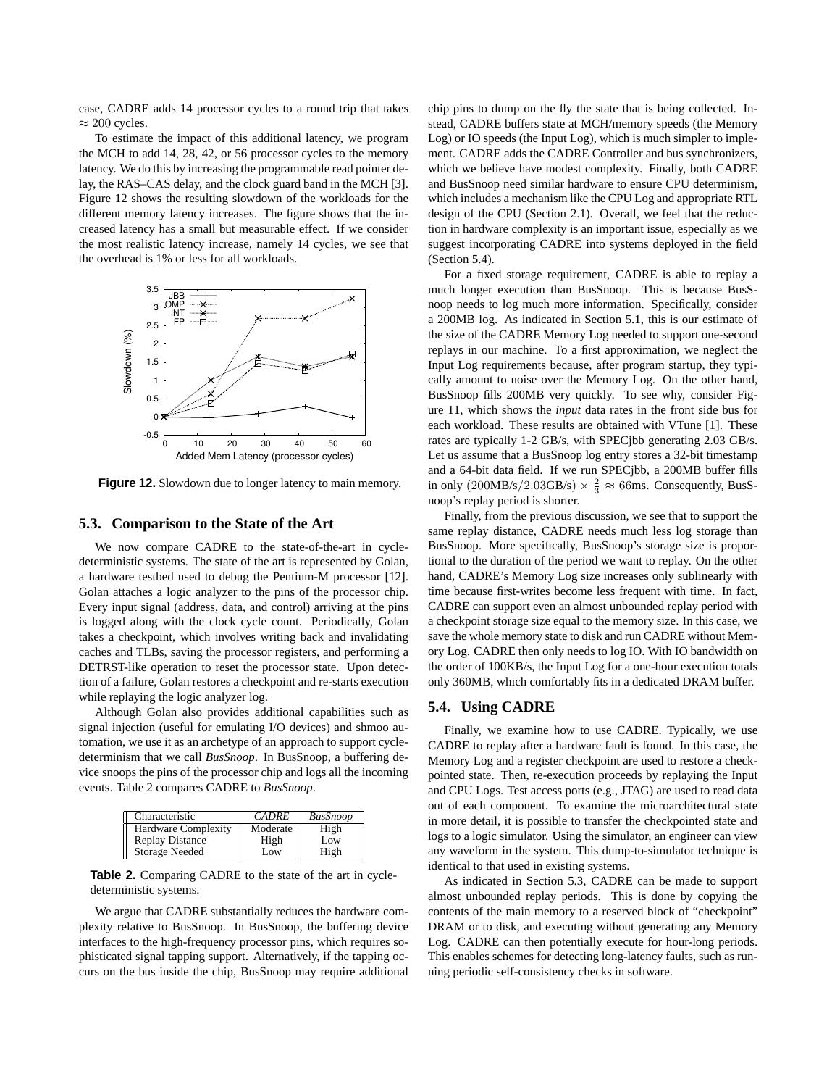case, CADRE adds 14 processor cycles to a round trip that takes  $\approx 200$  cycles.

To estimate the impact of this additional latency, we program the MCH to add 14, 28, 42, or 56 processor cycles to the memory latency. We do this by increasing the programmable read pointer delay, the RAS–CAS delay, and the clock guard band in the MCH [3]. Figure 12 shows the resulting slowdown of the workloads for the different memory latency increases. The figure shows that the increased latency has a small but measurable effect. If we consider the most realistic latency increase, namely 14 cycles, we see that the overhead is 1% or less for all workloads.



Figure 12. Slowdown due to longer latency to main memory.

#### **5.3. Comparison to the State of the Art**

We now compare CADRE to the state-of-the-art in cycledeterministic systems. The state of the art is represented by Golan, a hardware testbed used to debug the Pentium-M processor [12]. Golan attaches a logic analyzer to the pins of the processor chip. Every input signal (address, data, and control) arriving at the pins is logged along with the clock cycle count. Periodically, Golan takes a checkpoint, which involves writing back and invalidating caches and TLBs, saving the processor registers, and performing a DETRST-like operation to reset the processor state. Upon detection of a failure, Golan restores a checkpoint and re-starts execution while replaying the logic analyzer log.

Although Golan also provides additional capabilities such as signal injection (useful for emulating I/O devices) and shmoo automation, we use it as an archetype of an approach to support cycledeterminism that we call *BusSnoop*. In BusSnoop, a buffering device snoops the pins of the processor chip and logs all the incoming events. Table 2 compares CADRE to *BusSnoop*.

| Characteristic             | <b>CADRE</b> | <b>BusSnoop</b> |
|----------------------------|--------------|-----------------|
| <b>Hardware Complexity</b> | Moderate     | High            |
| <b>Replay Distance</b>     | High         | Low             |
| Storage Needed             | Low          | High            |

**Table 2.** Comparing CADRE to the state of the art in cycledeterministic systems.

We argue that CADRE substantially reduces the hardware complexity relative to BusSnoop. In BusSnoop, the buffering device interfaces to the high-frequency processor pins, which requires sophisticated signal tapping support. Alternatively, if the tapping occurs on the bus inside the chip, BusSnoop may require additional chip pins to dump on the fly the state that is being collected. Instead, CADRE buffers state at MCH/memory speeds (the Memory Log) or IO speeds (the Input Log), which is much simpler to implement. CADRE adds the CADRE Controller and bus synchronizers, which we believe have modest complexity. Finally, both CADRE and BusSnoop need similar hardware to ensure CPU determinism, which includes a mechanism like the CPU Log and appropriate RTL design of the CPU (Section 2.1). Overall, we feel that the reduction in hardware complexity is an important issue, especially as we suggest incorporating CADRE into systems deployed in the field (Section 5.4).

For a fixed storage requirement, CADRE is able to replay a much longer execution than BusSnoop. This is because BusSnoop needs to log much more information. Specifically, consider a 200MB log. As indicated in Section 5.1, this is our estimate of the size of the CADRE Memory Log needed to support one-second replays in our machine. To a first approximation, we neglect the Input Log requirements because, after program startup, they typically amount to noise over the Memory Log. On the other hand, BusSnoop fills 200MB very quickly. To see why, consider Figure 11, which shows the *input* data rates in the front side bus for each workload. These results are obtained with VTune [1]. These rates are typically 1-2 GB/s, with SPECjbb generating 2.03 GB/s. Let us assume that a BusSnoop log entry stores a 32-bit timestamp and a 64-bit data field. If we run SPECjbb, a 200MB buffer fills in only  $(200MB/s/2.03GB/s) \times \frac{2}{3} \approx 66ms$ . Consequently, BusSnoop's replay period is shorter.

Finally, from the previous discussion, we see that to support the same replay distance, CADRE needs much less log storage than BusSnoop. More specifically, BusSnoop's storage size is proportional to the duration of the period we want to replay. On the other hand, CADRE's Memory Log size increases only sublinearly with time because first-writes become less frequent with time. In fact, CADRE can support even an almost unbounded replay period with a checkpoint storage size equal to the memory size. In this case, we save the whole memory state to disk and run CADRE without Memory Log. CADRE then only needs to log IO. With IO bandwidth on the order of 100KB/s, the Input Log for a one-hour execution totals only 360MB, which comfortably fits in a dedicated DRAM buffer.

#### **5.4. Using CADRE**

Finally, we examine how to use CADRE. Typically, we use CADRE to replay after a hardware fault is found. In this case, the Memory Log and a register checkpoint are used to restore a checkpointed state. Then, re-execution proceeds by replaying the Input and CPU Logs. Test access ports (e.g., JTAG) are used to read data out of each component. To examine the microarchitectural state in more detail, it is possible to transfer the checkpointed state and logs to a logic simulator. Using the simulator, an engineer can view any waveform in the system. This dump-to-simulator technique is identical to that used in existing systems.

As indicated in Section 5.3, CADRE can be made to support almost unbounded replay periods. This is done by copying the contents of the main memory to a reserved block of "checkpoint" DRAM or to disk, and executing without generating any Memory Log. CADRE can then potentially execute for hour-long periods. This enables schemes for detecting long-latency faults, such as running periodic self-consistency checks in software.